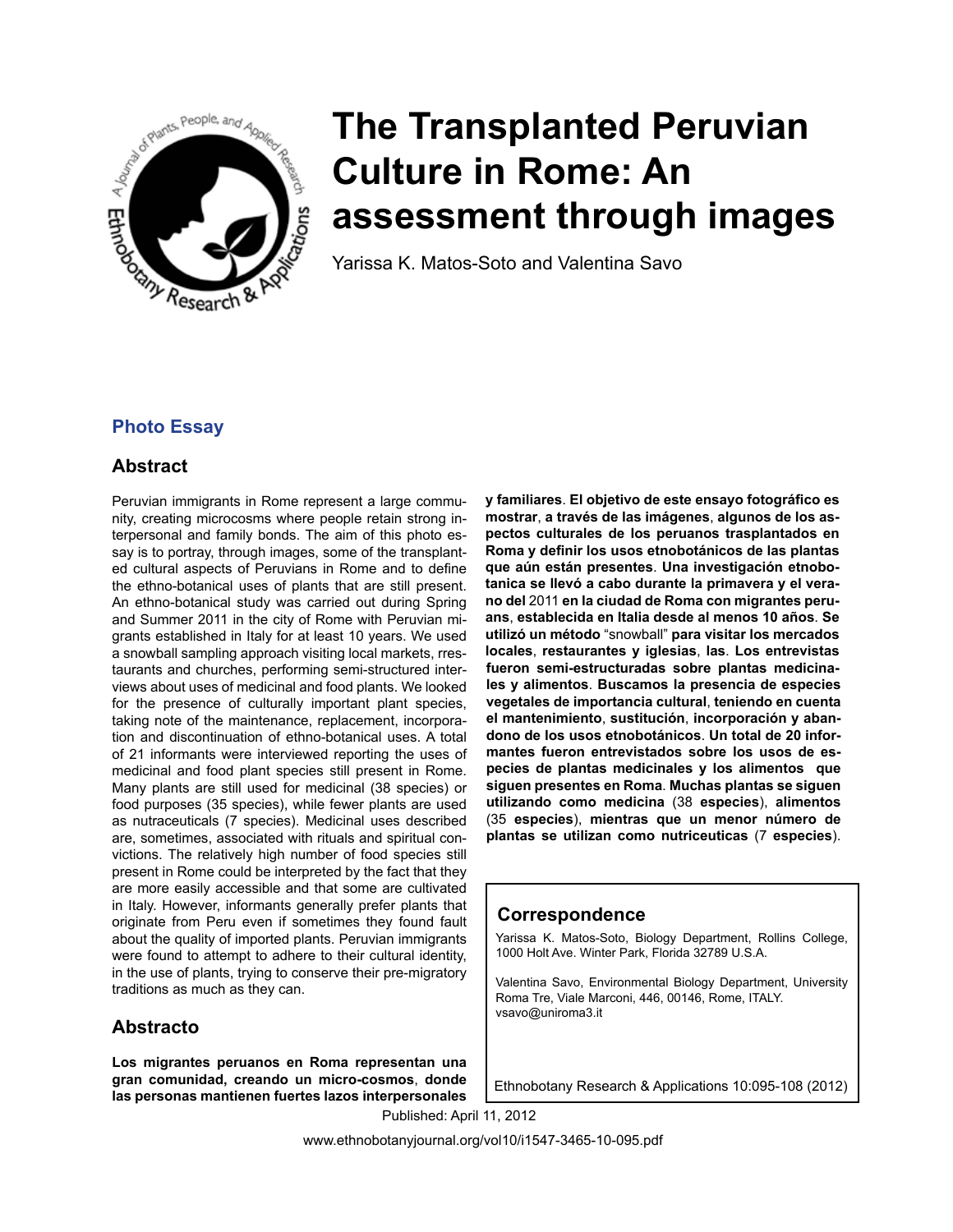

# **The Transplanted Peruvian Culture in Rome: An assessment through images**

Yarissa K. Matos-Soto and Valentina Savo

# **Photo Essay**

## **Abstract**

Peruvian immigrants in Rome represent a large community, creating microcosms where people retain strong interpersonal and family bonds. The aim of this photo essay is to portray, through images, some of the transplanted cultural aspects of Peruvians in Rome and to define the ethno-botanical uses of plants that are still present. An ethno-botanical study was carried out during Spring and Summer 2011 in the city of Rome with Peruvian migrants established in Italy for at least 10 years. We used a snowball sampling approach visiting local markets, rrestaurants and churches, performing semi-structured interviews about uses of medicinal and food plants. We looked for the presence of culturally important plant species, taking note of the maintenance, replacement, incorporation and discontinuation of ethno-botanical uses. A total of 21 informants were interviewed reporting the uses of medicinal and food plant species still present in Rome. Many plants are still used for medicinal (38 species) or food purposes (35 species), while fewer plants are used as nutraceuticals (7 species). Medicinal uses described are, sometimes, associated with rituals and spiritual convictions. The relatively high number of food species still present in Rome could be interpreted by the fact that they are more easily accessible and that some are cultivated in Italy. However, informants generally prefer plants that originate from Peru even if sometimes they found fault about the quality of imported plants. Peruvian immigrants were found to attempt to adhere to their cultural identity, in the use of plants, trying to conserve their pre-migratory traditions as much as they can.

## **Abstracto**

**Los migrantes peruanos en Roma representan una gran comunidad, creando un micro-cosmos**, **donde las personas mantienen fuertes lazos interpersonales**  **y familiares**. **El objetivo de este ensayo fotográfico es mostrar**, **a través de las imágenes**, **algunos de los aspectos culturales de los peruanos trasplantados en Roma y definir los usos etnobotánicos de las plantas que aún están presentes**. **Una investigación etnobotanica se llevó a cabo durante la primavera y el verano del** 2011 **en la ciudad de Roma con migrantes peruans**, **establecida en Italia desde al menos 10 años**. **Se utilizó un método** "snowball" **para visitar los mercados locales**, **restaurantes y iglesias**, **las**. **Los entrevistas fueron semi-estructuradas sobre plantas medicinales y alimentos**. **Buscamos la presencia de especies vegetales de importancia cultural**, **teniendo en cuenta el mantenimiento**, **sustitución**, **incorporación y abandono de los usos etnobotánicos**. **Un total de 20 informantes fueron entrevistados sobre los usos de especies de plantas medicinales y los alimentos que siguen presentes en Roma**. **Muchas plantas se siguen utilizando como medicina** (38 **especies**), **alimentos** (35 **especies**), **mientras que un menor número de plantas se utilizan como nutriceuticas** (7 **especies**).

## **Correspondence**

Yarissa K. Matos-Soto, Biology Department, Rollins College, 1000 Holt Ave. Winter Park, Florida 32789 U.S.A.

Valentina Savo, Environmental Biology Department, University Roma Tre, Viale Marconi, 446, 00146, Rome, ITALY. vsavo@uniroma3.it

Ethnobotany Research & Applications 10:095-108 (2012)

Published: April 11, 2012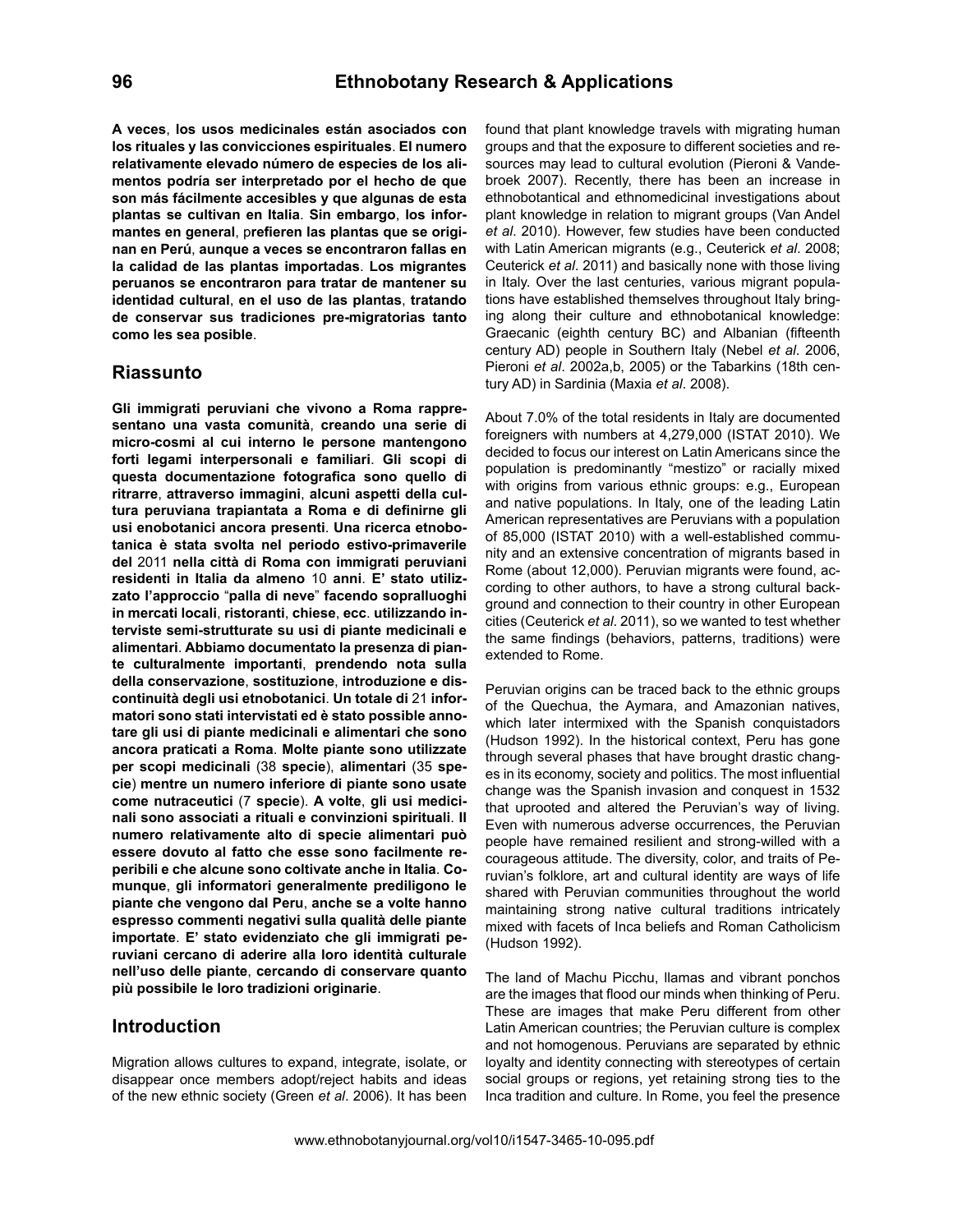**A veces**, **los usos medicinales están asociados con los rituales y las convicciones espirituales**. **El numero relativamente elevado número de especies de los alimentos podría ser interpretado por el hecho de que son más fácilmente accesibles y que algunas de esta plantas se cultivan en Italia**. **Sin embargo**, **los informantes en general**, p**refieren las plantas que se originan en Perú**, **aunque a veces se encontraron fallas en la calidad de las plantas importadas**. **Los migrantes peruanos se encontraron para tratar de mantener su identidad cultural**, **en el uso de las plantas**, **tratando de conservar sus tradiciones pre-migratorias tanto como les sea posible**.

## **Riassunto**

**Gli immigrati peruviani che vivono a Roma rappresentano una vasta comunità**, **creando una serie di micro-cosmi al cui interno le persone mantengono forti legami interpersonali e familiari**. **Gli scopi di questa documentazione fotografica sono quello di ritrarre**, **attraverso immagini**, **alcuni aspetti della cultura peruviana trapiantata a Roma e di definirne gli usi enobotanici ancora presenti**. **Una ricerca etnobotanica è stata svolta nel periodo estivo-primaverile del** 2011 **nella città di Roma con immigrati peruviani residenti in Italia da almeno** 10 **anni**. **E' stato utilizzato l'approccio** "**palla di neve**" **facendo sopralluoghi in mercati locali**, **ristoranti**, **chiese**, **ecc**. **utilizzando interviste semi-strutturate su usi di piante medicinali e alimentari**. **Abbiamo documentato la presenza di piante culturalmente importanti**, **prendendo nota sulla della conservazione**, **sostituzione**, **introduzione e discontinuità degli usi etnobotanici**. **Un totale di** 21 **informatori sono stati intervistati ed è stato possible annotare gli usi di piante medicinali e alimentari che sono ancora praticati a Roma**. **Molte piante sono utilizzate per scopi medicinali** (38 **specie**), **alimentari** (35 **specie**) **mentre un numero inferiore di piante sono usate come nutraceutici** (7 **specie**). **A volte**, **gli usi medicinali sono associati a rituali e convinzioni spirituali**. **Il numero relativamente alto di specie alimentari può essere dovuto al fatto che esse sono facilmente reperibili e che alcune sono coltivate anche in Italia**. **Comunque**, **gli informatori generalmente prediligono le piante che vengono dal Peru**, **anche se a volte hanno espresso commenti negativi sulla qualità delle piante importate**. **E' stato evidenziato che gli immigrati peruviani cercano di aderire alla loro identità culturale nell'uso delle piante**, **cercando di conservare quanto più possibile le loro tradizioni originarie**.

## **Introduction**

Migration allows cultures to expand, integrate, isolate, or disappear once members adopt/reject habits and ideas of the new ethnic society (Green *et al*. 2006). It has been found that plant knowledge travels with migrating human groups and that the exposure to different societies and resources may lead to cultural evolution (Pieroni & Vandebroek 2007). Recently, there has been an increase in ethnobotantical and ethnomedicinal investigations about plant knowledge in relation to migrant groups (Van Andel *et al*. 2010). However, few studies have been conducted with Latin American migrants (e.g., Ceuterick *et al*. 2008; Ceuterick *et al*. 2011) and basically none with those living in Italy. Over the last centuries, various migrant populations have established themselves throughout Italy bringing along their culture and ethnobotanical knowledge: Graecanic (eighth century BC) and Albanian (fifteenth century AD) people in Southern Italy (Nebel *et al*. 2006, Pieroni *et al*. 2002a,b, 2005) or the Tabarkins (18th century AD) in Sardinia (Maxia *et al*. 2008).

About 7.0% of the total residents in Italy are documented foreigners with numbers at 4,279,000 (ISTAT 2010). We decided to focus our interest on Latin Americans since the population is predominantly "mestizo" or racially mixed with origins from various ethnic groups: e.g., European and native populations. In Italy, one of the leading Latin American representatives are Peruvians with a population of 85,000 (ISTAT 2010) with a well-established community and an extensive concentration of migrants based in Rome (about 12,000). Peruvian migrants were found, according to other authors, to have a strong cultural background and connection to their country in other European cities (Ceuterick *et al*. 2011), so we wanted to test whether the same findings (behaviors, patterns, traditions) were extended to Rome.

Peruvian origins can be traced back to the ethnic groups of the Quechua, the Aymara, and Amazonian natives, which later intermixed with the Spanish conquistadors (Hudson 1992). In the historical context, Peru has gone through several phases that have brought drastic changes in its economy, society and politics. The most influential change was the Spanish invasion and conquest in 1532 that uprooted and altered the Peruvian's way of living. Even with numerous adverse occurrences, the Peruvian people have remained resilient and strong-willed with a courageous attitude. The diversity, color, and traits of Peruvian's folklore, art and cultural identity are ways of life shared with Peruvian communities throughout the world maintaining strong native cultural traditions intricately mixed with facets of Inca beliefs and Roman Catholicism (Hudson 1992).

The land of Machu Picchu, llamas and vibrant ponchos are the images that flood our minds when thinking of Peru. These are images that make Peru different from other Latin American countries; the Peruvian culture is complex and not homogenous. Peruvians are separated by ethnic loyalty and identity connecting with stereotypes of certain social groups or regions, yet retaining strong ties to the Inca tradition and culture. In Rome, you feel the presence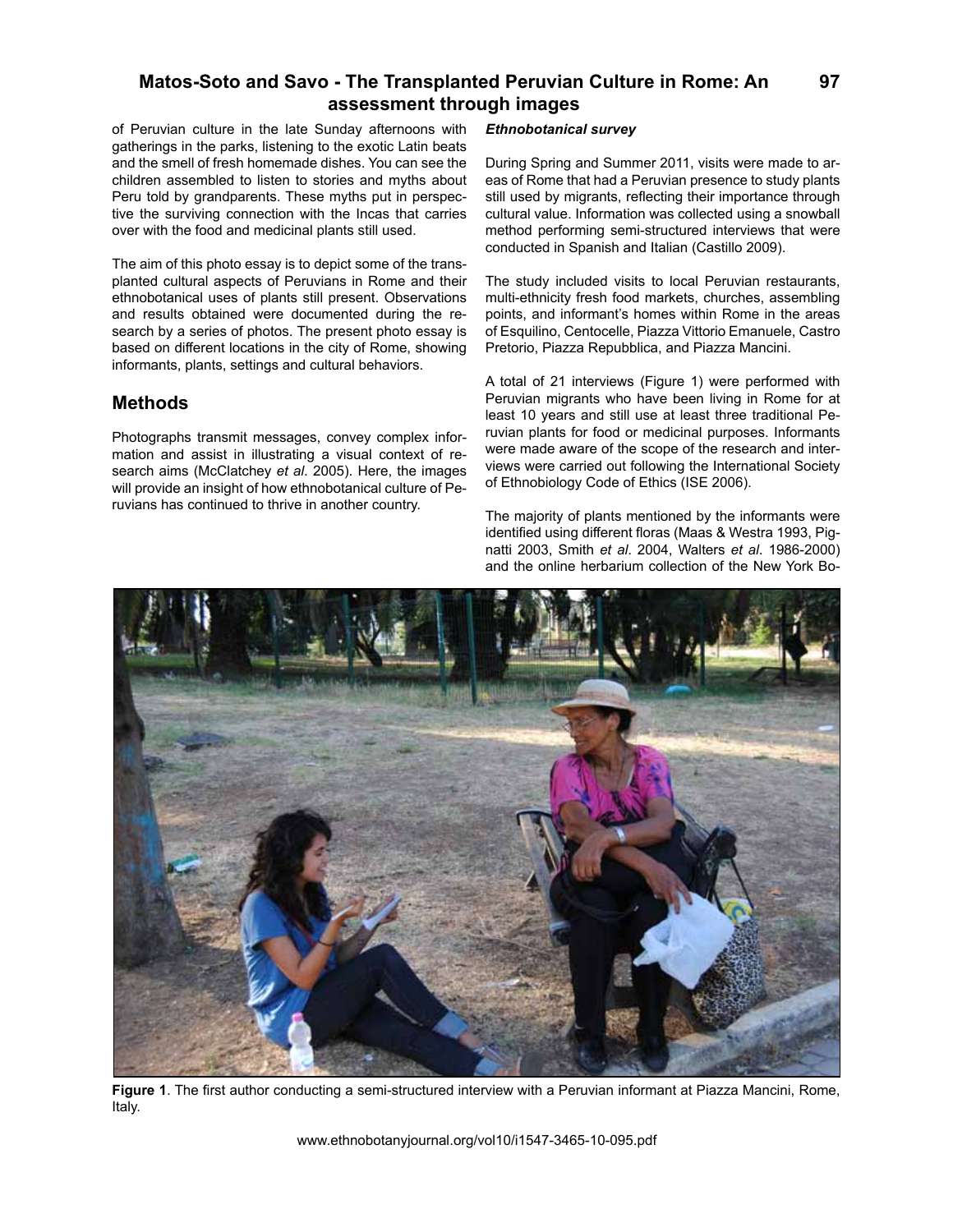of Peruvian culture in the late Sunday afternoons with gatherings in the parks, listening to the exotic Latin beats and the smell of fresh homemade dishes. You can see the children assembled to listen to stories and myths about Peru told by grandparents. These myths put in perspective the surviving connection with the Incas that carries over with the food and medicinal plants still used.

The aim of this photo essay is to depict some of the transplanted cultural aspects of Peruvians in Rome and their ethnobotanical uses of plants still present. Observations and results obtained were documented during the research by a series of photos. The present photo essay is based on different locations in the city of Rome, showing informants, plants, settings and cultural behaviors.

## **Methods**

Photographs transmit messages, convey complex information and assist in illustrating a visual context of research aims (McClatchey *et al*. 2005). Here, the images will provide an insight of how ethnobotanical culture of Peruvians has continued to thrive in another country.

## *Ethnobotanical survey*

During Spring and Summer 2011, visits were made to areas of Rome that had a Peruvian presence to study plants still used by migrants, reflecting their importance through cultural value. Information was collected using a snowball method performing semi-structured interviews that were conducted in Spanish and Italian (Castillo 2009).

The study included visits to local Peruvian restaurants, multi-ethnicity fresh food markets, churches, assembling points, and informant's homes within Rome in the areas of Esquilino, Centocelle, Piazza Vittorio Emanuele, Castro Pretorio, Piazza Repubblica, and Piazza Mancini.

A total of 21 interviews (Figure 1) were performed with Peruvian migrants who have been living in Rome for at least 10 years and still use at least three traditional Peruvian plants for food or medicinal purposes. Informants were made aware of the scope of the research and interviews were carried out following the International Society of Ethnobiology Code of Ethics (ISE 2006).

The majority of plants mentioned by the informants were identified using different floras (Maas & Westra 1993, Pignatti 2003, Smith *et al*. 2004, Walters *et al*. 1986-2000) and the online herbarium collection of the New York Bo-



**Figure 1**. The first author conducting a semi-structured interview with a Peruvian informant at Piazza Mancini, Rome, Italy.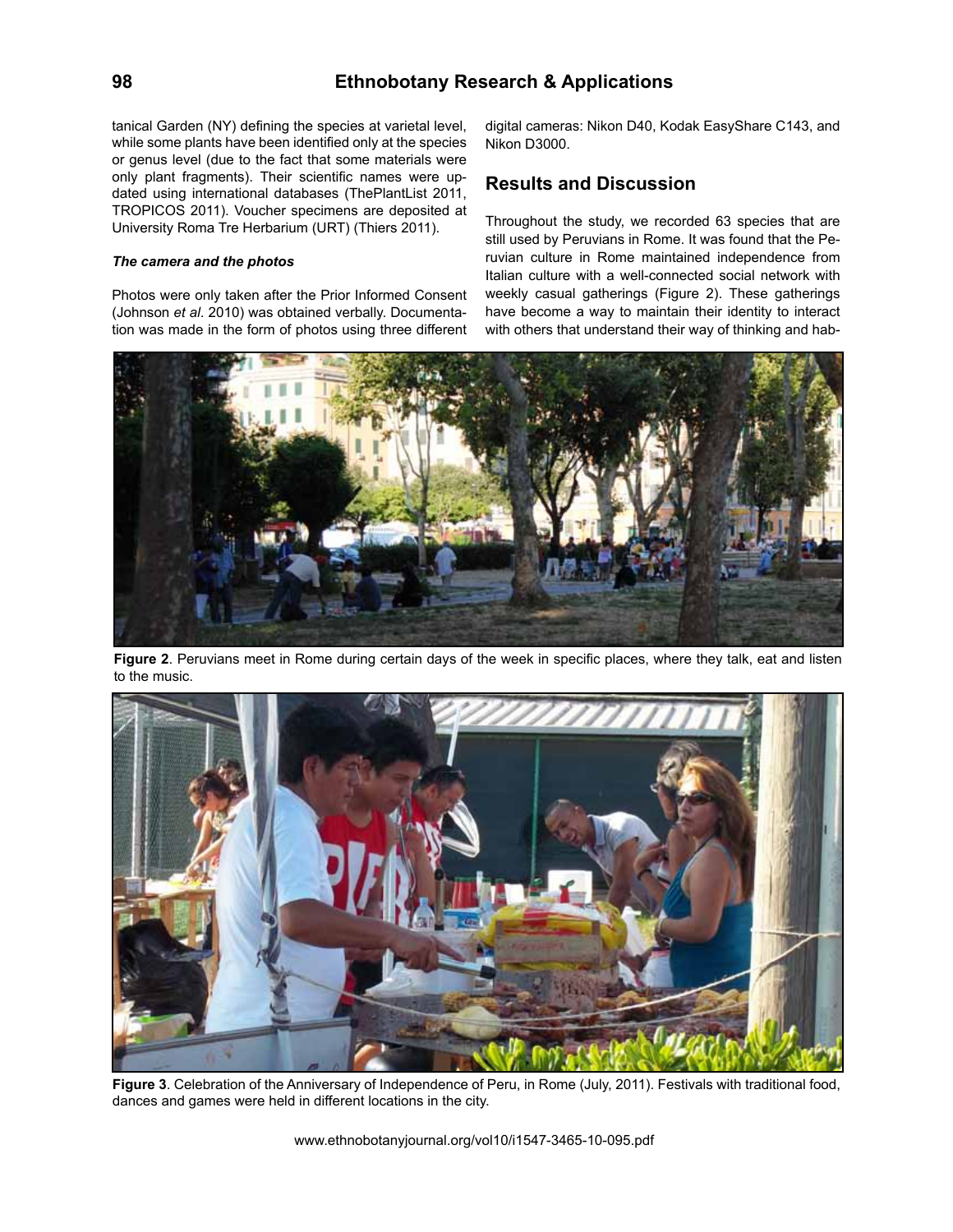## **98 Ethnobotany Research & Applications**

tanical Garden (NY) defining the species at varietal level, while some plants have been identified only at the species or genus level (due to the fact that some materials were only plant fragments). Their scientific names were updated using international databases (ThePlantList 2011, TROPICOS 2011). Voucher specimens are deposited at University Roma Tre Herbarium (URT) (Thiers 2011).

## *The camera and the photos*

Photos were only taken after the Prior Informed Consent (Johnson *et al*. 2010) was obtained verbally. Documentation was made in the form of photos using three different digital cameras: Nikon D40, Kodak EasyShare C143, and Nikon D3000.

## **Results and Discussion**

Throughout the study, we recorded 63 species that are still used by Peruvians in Rome. It was found that the Peruvian culture in Rome maintained independence from Italian culture with a well-connected social network with weekly casual gatherings (Figure 2). These gatherings have become a way to maintain their identity to interact with others that understand their way of thinking and hab-



**Figure 2**. Peruvians meet in Rome during certain days of the week in specific places, where they talk, eat and listen to the music.



**Figure 3**. Celebration of the Anniversary of Independence of Peru, in Rome (July, 2011). Festivals with traditional food, dances and games were held in different locations in the city.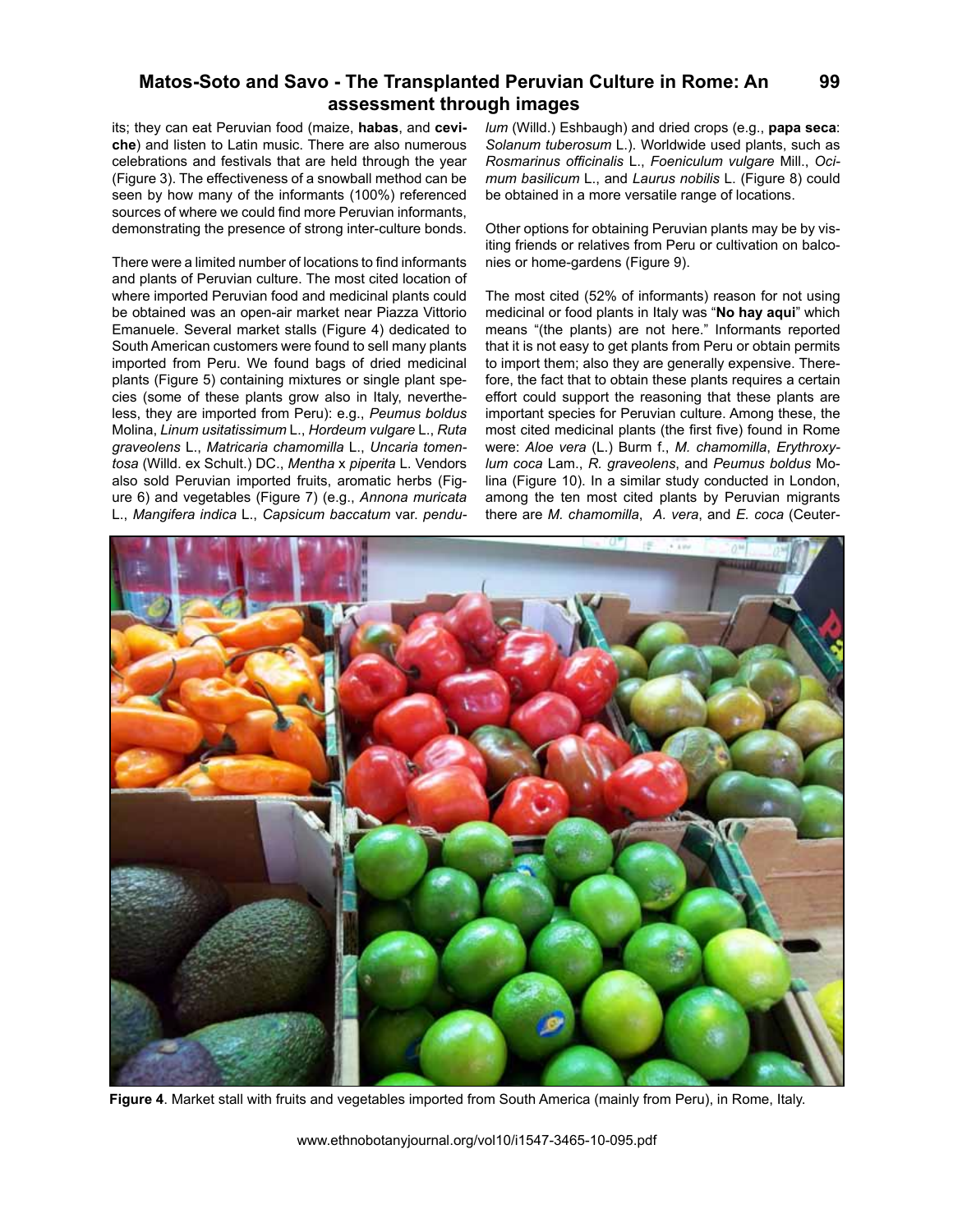its; they can eat Peruvian food (maize, **habas**, and **ceviche**) and listen to Latin music. There are also numerous celebrations and festivals that are held through the year (Figure 3). The effectiveness of a snowball method can be seen by how many of the informants (100%) referenced sources of where we could find more Peruvian informants, demonstrating the presence of strong inter-culture bonds.

There were a limited number of locations to find informants and plants of Peruvian culture. The most cited location of where imported Peruvian food and medicinal plants could be obtained was an open-air market near Piazza Vittorio Emanuele. Several market stalls (Figure 4) dedicated to South American customers were found to sell many plants imported from Peru. We found bags of dried medicinal plants (Figure 5) containing mixtures or single plant species (some of these plants grow also in Italy, nevertheless, they are imported from Peru): e.g., *Peumus boldus* Molina, *Linum usitatissimum* L., *Hordeum vulgare* L., *Ruta graveolens* L., *Matricaria chamomilla* L., *Uncaria tomentosa* (Willd. ex Schult.) DC., *Mentha* x *piperita* L. Vendors also sold Peruvian imported fruits, aromatic herbs (Figure 6) and vegetables (Figure 7) (e.g., *Annona muricata* L., *Mangifera indica* L., *Capsicum baccatum* var. *pendu-* *lum* (Willd.) Eshbaugh) and dried crops (e.g., **papa seca**: *Solanum tuberosum* L.). Worldwide used plants, such as *Rosmarinus officinalis* L., *Foeniculum vulgare* Mill., *Ocimum basilicum* L., and *Laurus nobilis* L. (Figure 8) could be obtained in a more versatile range of locations.

Other options for obtaining Peruvian plants may be by visiting friends or relatives from Peru or cultivation on balconies or home-gardens (Figure 9).

The most cited (52% of informants) reason for not using medicinal or food plants in Italy was "**No hay aqui**" which means "(the plants) are not here." Informants reported that it is not easy to get plants from Peru or obtain permits to import them; also they are generally expensive. Therefore, the fact that to obtain these plants requires a certain effort could support the reasoning that these plants are important species for Peruvian culture. Among these, the most cited medicinal plants (the first five) found in Rome were: *Aloe vera* (L.) Burm f., *M. chamomilla*, *Erythroxylum coca* Lam., *R. graveolens*, and *Peumus boldus* Molina (Figure 10). In a similar study conducted in London, among the ten most cited plants by Peruvian migrants there are *M. chamomilla*, *A. vera*, and *E. coca* (Ceuter-



**Figure 4**. Market stall with fruits and vegetables imported from South America (mainly from Peru), in Rome, Italy.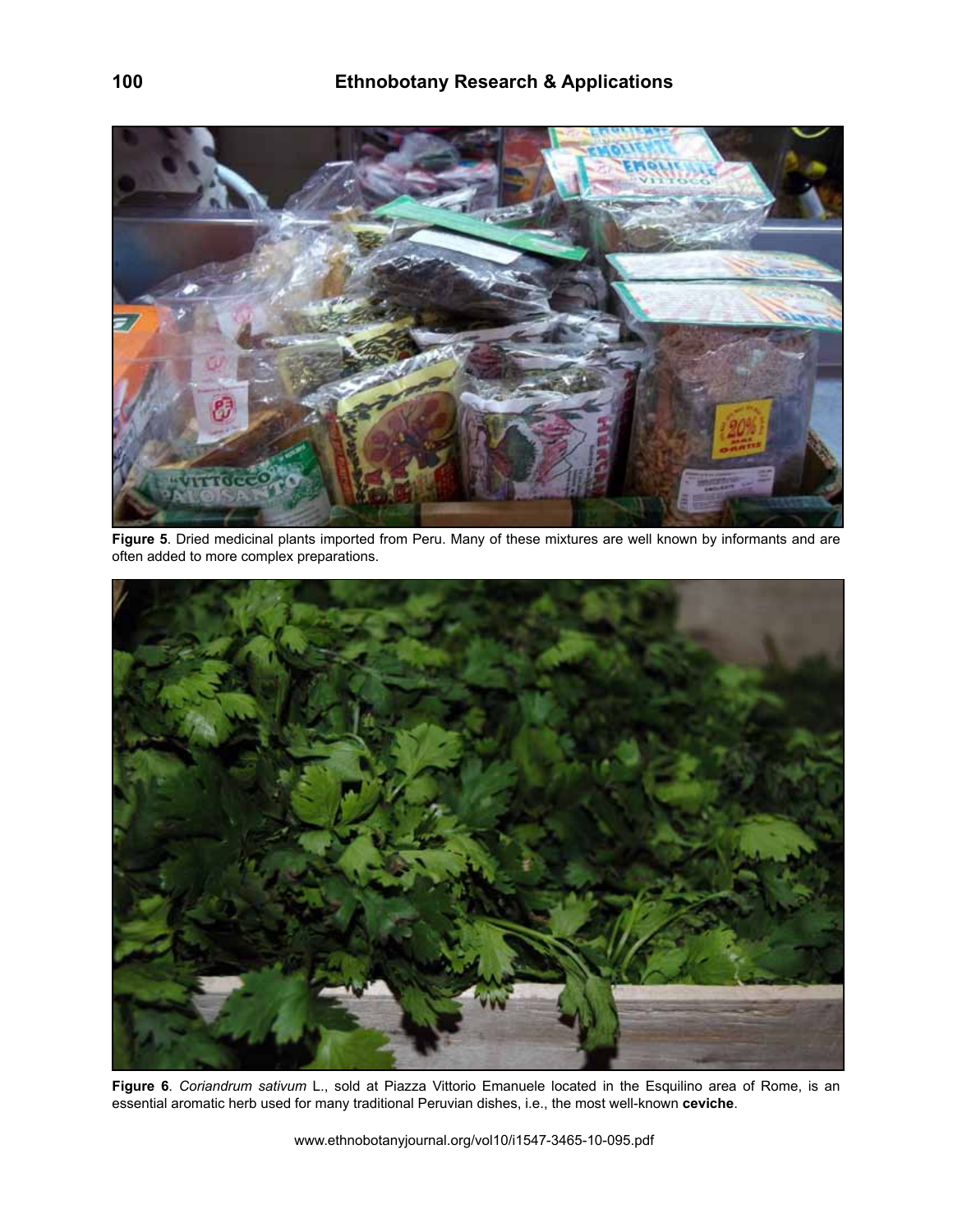

**Figure 5**. Dried medicinal plants imported from Peru. Many of these mixtures are well known by informants and are often added to more complex preparations.



**Figure 6**. *Coriandrum sativum* L., sold at Piazza Vittorio Emanuele located in the Esquilino area of Rome, is an essential aromatic herb used for many traditional Peruvian dishes, i.e., the most well-known **ceviche**.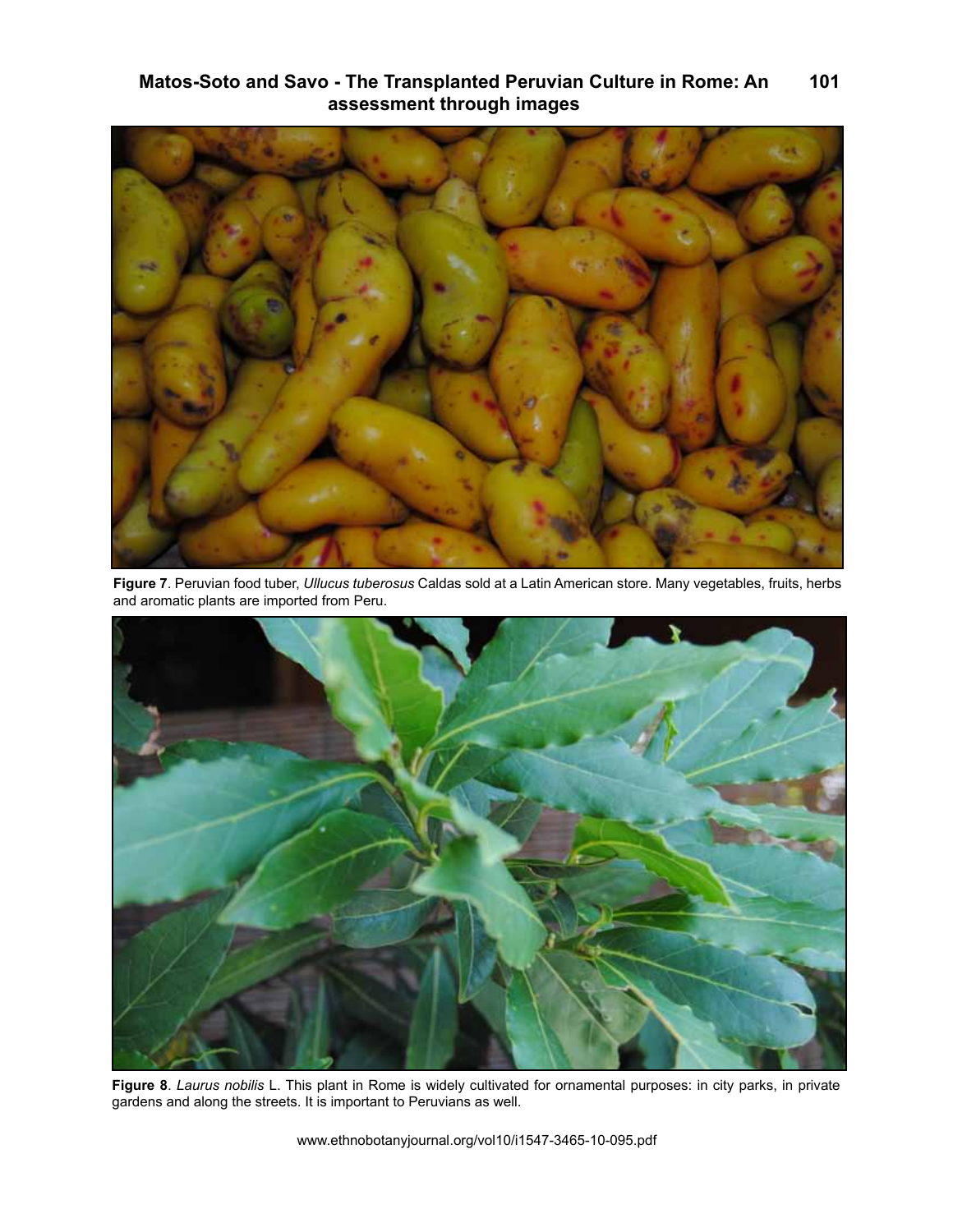

**Figure 7**. Peruvian food tuber, *Ullucus tuberosus* Caldas sold at a Latin American store. Many vegetables, fruits, herbs and aromatic plants are imported from Peru.



**Figure 8**. *Laurus nobilis* L. This plant in Rome is widely cultivated for ornamental purposes: in city parks, in private gardens and along the streets. It is important to Peruvians as well.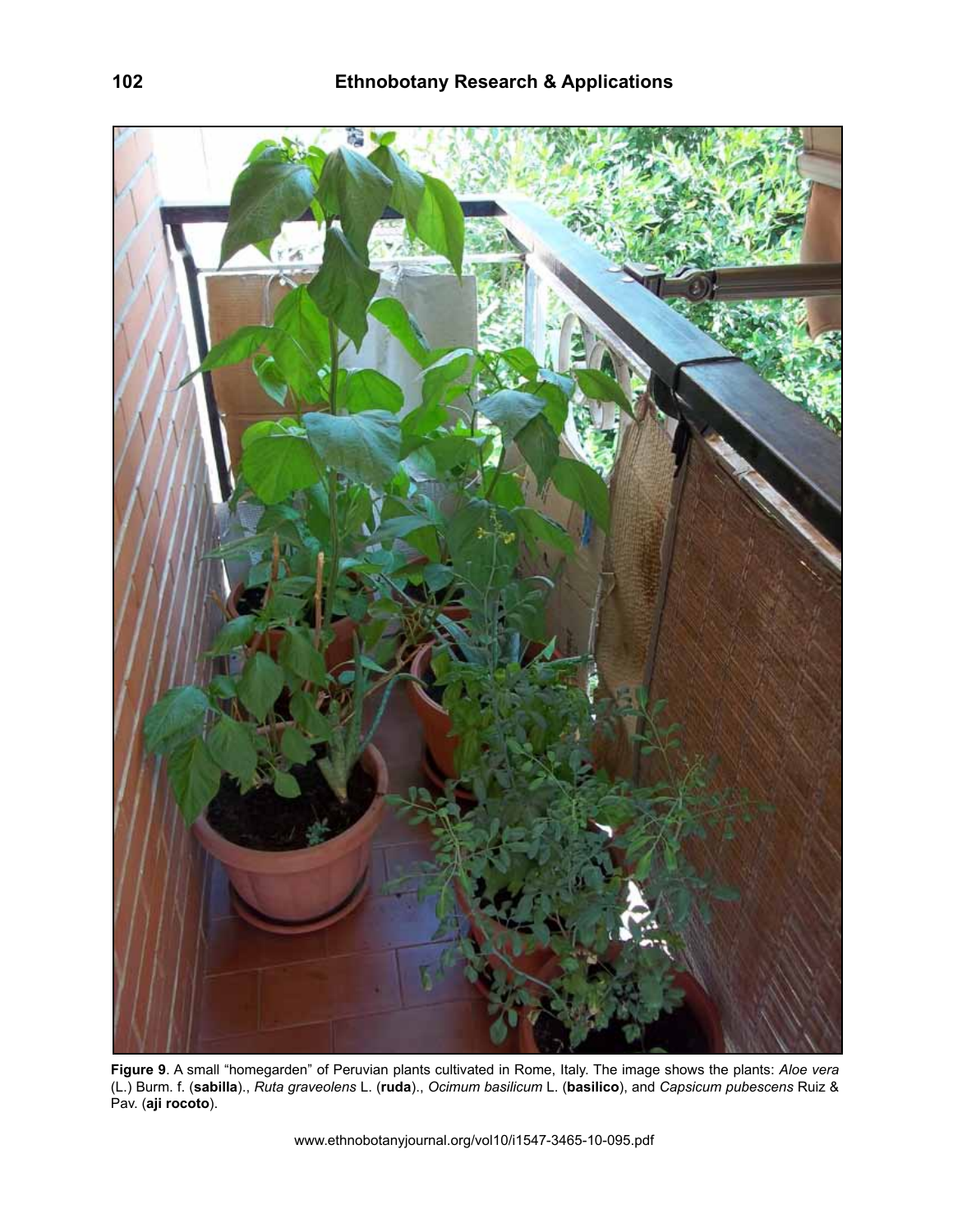

**Figure 9**. A small "homegarden" of Peruvian plants cultivated in Rome, Italy. The image shows the plants: *Aloe vera* (L.) Burm. f. (**sabilla**)., *Ruta graveolens* L. (**ruda**)., *Ocimum basilicum* L. (**basilico**), and *Capsicum pubescens* Ruiz & Pav. (**aji rocoto**).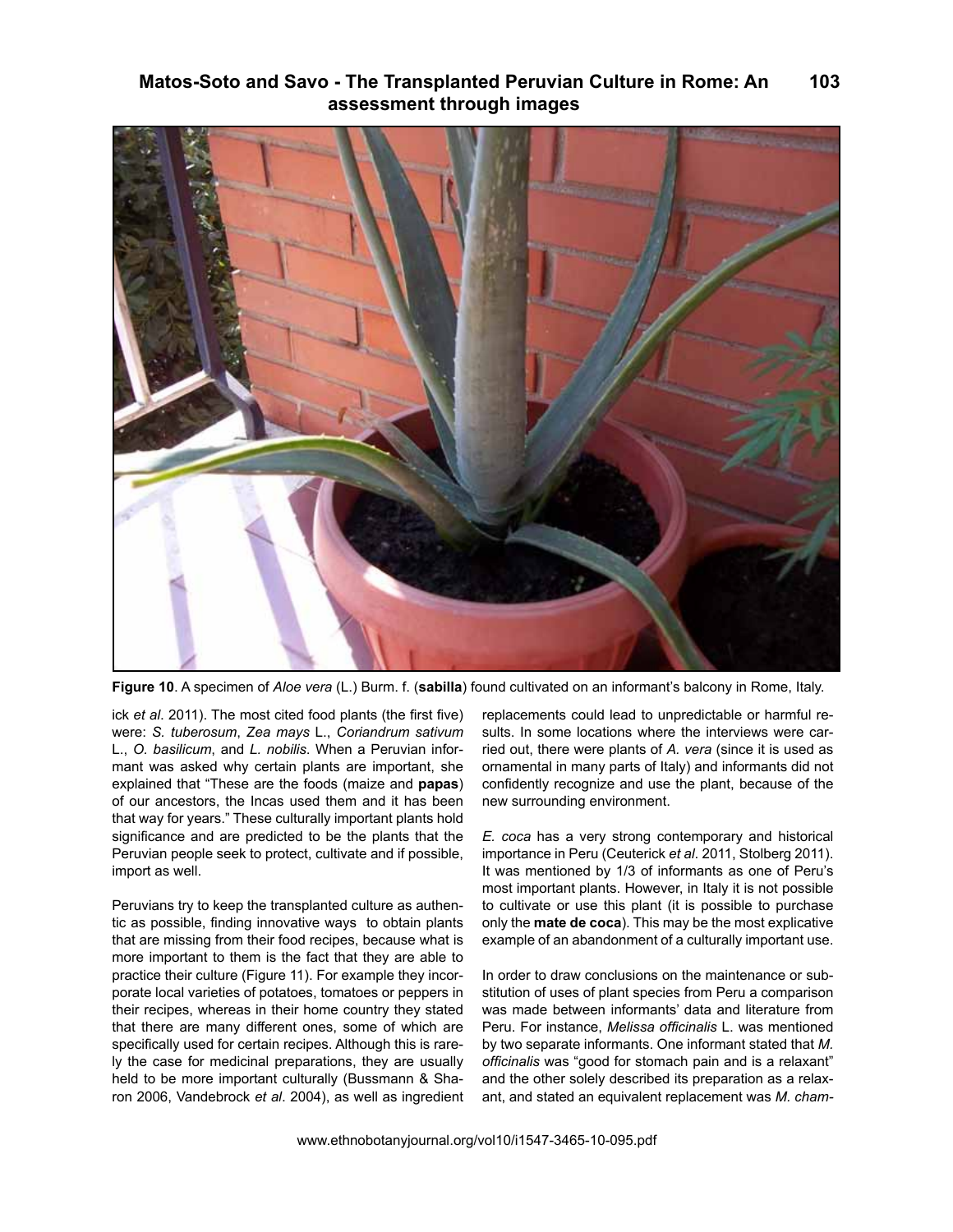

**Figure 10**. A specimen of *Aloe vera* (L.) Burm. f. (**sabilla**) found cultivated on an informant's balcony in Rome, Italy.

ick *et al*. 2011). The most cited food plants (the first five) were: *S. tuberosum*, *Zea mays* L., *Coriandrum sativum* L., *O. basilicum*, and *L. nobilis*. When a Peruvian informant was asked why certain plants are important, she explained that "These are the foods (maize and **papas**) of our ancestors, the Incas used them and it has been that way for years." These culturally important plants hold significance and are predicted to be the plants that the Peruvian people seek to protect, cultivate and if possible, import as well.

Peruvians try to keep the transplanted culture as authentic as possible, finding innovative ways to obtain plants that are missing from their food recipes, because what is more important to them is the fact that they are able to practice their culture (Figure 11). For example they incorporate local varieties of potatoes, tomatoes or peppers in their recipes, whereas in their home country they stated that there are many different ones, some of which are specifically used for certain recipes. Although this is rarely the case for medicinal preparations, they are usually held to be more important culturally (Bussmann & Sharon 2006, Vandebrock *et al*. 2004), as well as ingredient replacements could lead to unpredictable or harmful results. In some locations where the interviews were carried out, there were plants of *A. vera* (since it is used as ornamental in many parts of Italy) and informants did not confidently recognize and use the plant, because of the new surrounding environment.

*E. coca* has a very strong contemporary and historical importance in Peru (Ceuterick *et al*. 2011, Stolberg 2011). It was mentioned by 1/3 of informants as one of Peru's most important plants. However, in Italy it is not possible to cultivate or use this plant (it is possible to purchase only the **mate de coca**). This may be the most explicative example of an abandonment of a culturally important use.

In order to draw conclusions on the maintenance or substitution of uses of plant species from Peru a comparison was made between informants' data and literature from Peru. For instance, *Melissa officinalis* L. was mentioned by two separate informants. One informant stated that *M. officinalis* was "good for stomach pain and is a relaxant" and the other solely described its preparation as a relaxant, and stated an equivalent replacement was *M. cham-*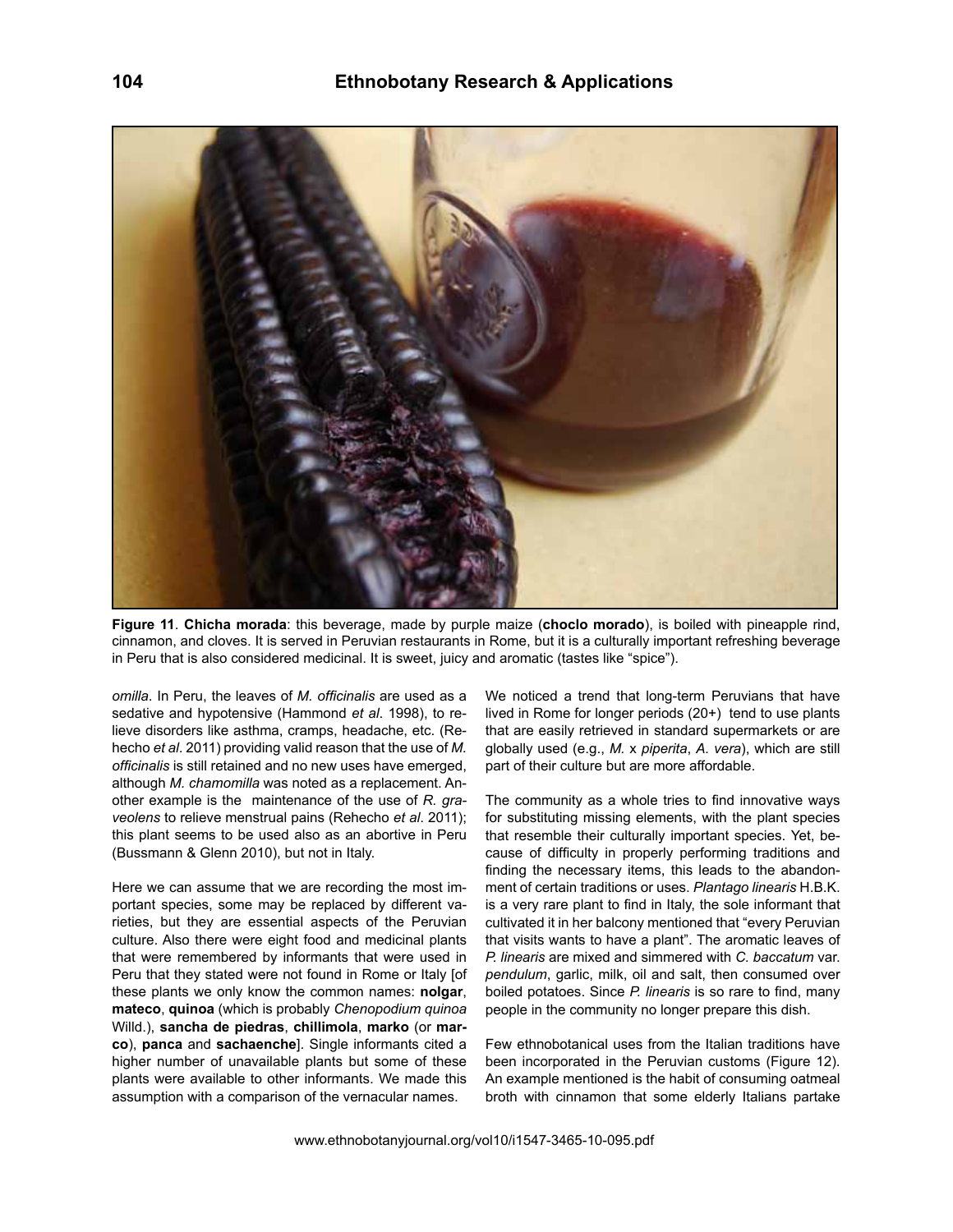

**Figure 11**. **Chicha morada**: this beverage, made by purple maize (**choclo morado**), is boiled with pineapple rind, cinnamon, and cloves. It is served in Peruvian restaurants in Rome, but it is a culturally important refreshing beverage in Peru that is also considered medicinal. It is sweet, juicy and aromatic (tastes like "spice").

*omilla*. In Peru, the leaves of *M. officinalis* are used as a sedative and hypotensive (Hammond *et al*. 1998), to relieve disorders like asthma, cramps, headache, etc. (Rehecho *et al*. 2011) providing valid reason that the use of *M. officinalis* is still retained and no new uses have emerged, although *M. chamomilla* was noted as a replacement. Another example is the maintenance of the use of *R. graveolens* to relieve menstrual pains (Rehecho *et al*. 2011); this plant seems to be used also as an abortive in Peru (Bussmann & Glenn 2010), but not in Italy.

Here we can assume that we are recording the most important species, some may be replaced by different varieties, but they are essential aspects of the Peruvian culture. Also there were eight food and medicinal plants that were remembered by informants that were used in Peru that they stated were not found in Rome or Italy [of these plants we only know the common names: **nolgar**, **mateco**, **quinoa** (which is probably *Chenopodium quinoa*  Willd.), **sancha de piedras**, **chillimola**, **marko** (or **marco**), **panca** and **sachaenche**]. Single informants cited a higher number of unavailable plants but some of these plants were available to other informants. We made this assumption with a comparison of the vernacular names.

We noticed a trend that long-term Peruvians that have lived in Rome for longer periods (20+) tend to use plants that are easily retrieved in standard supermarkets or are globally used (e.g., *M.* x *piperita*, *A. vera*), which are still part of their culture but are more affordable.

The community as a whole tries to find innovative ways for substituting missing elements, with the plant species that resemble their culturally important species. Yet, because of difficulty in properly performing traditions and finding the necessary items, this leads to the abandonment of certain traditions or uses. *Plantago linearis* H.B.K. is a very rare plant to find in Italy, the sole informant that cultivated it in her balcony mentioned that "every Peruvian that visits wants to have a plant". The aromatic leaves of *P. linearis* are mixed and simmered with *C. baccatum* var. *pendulum*, garlic, milk, oil and salt, then consumed over boiled potatoes. Since *P. linearis* is so rare to find, many people in the community no longer prepare this dish.

Few ethnobotanical uses from the Italian traditions have been incorporated in the Peruvian customs (Figure 12). An example mentioned is the habit of consuming oatmeal broth with cinnamon that some elderly Italians partake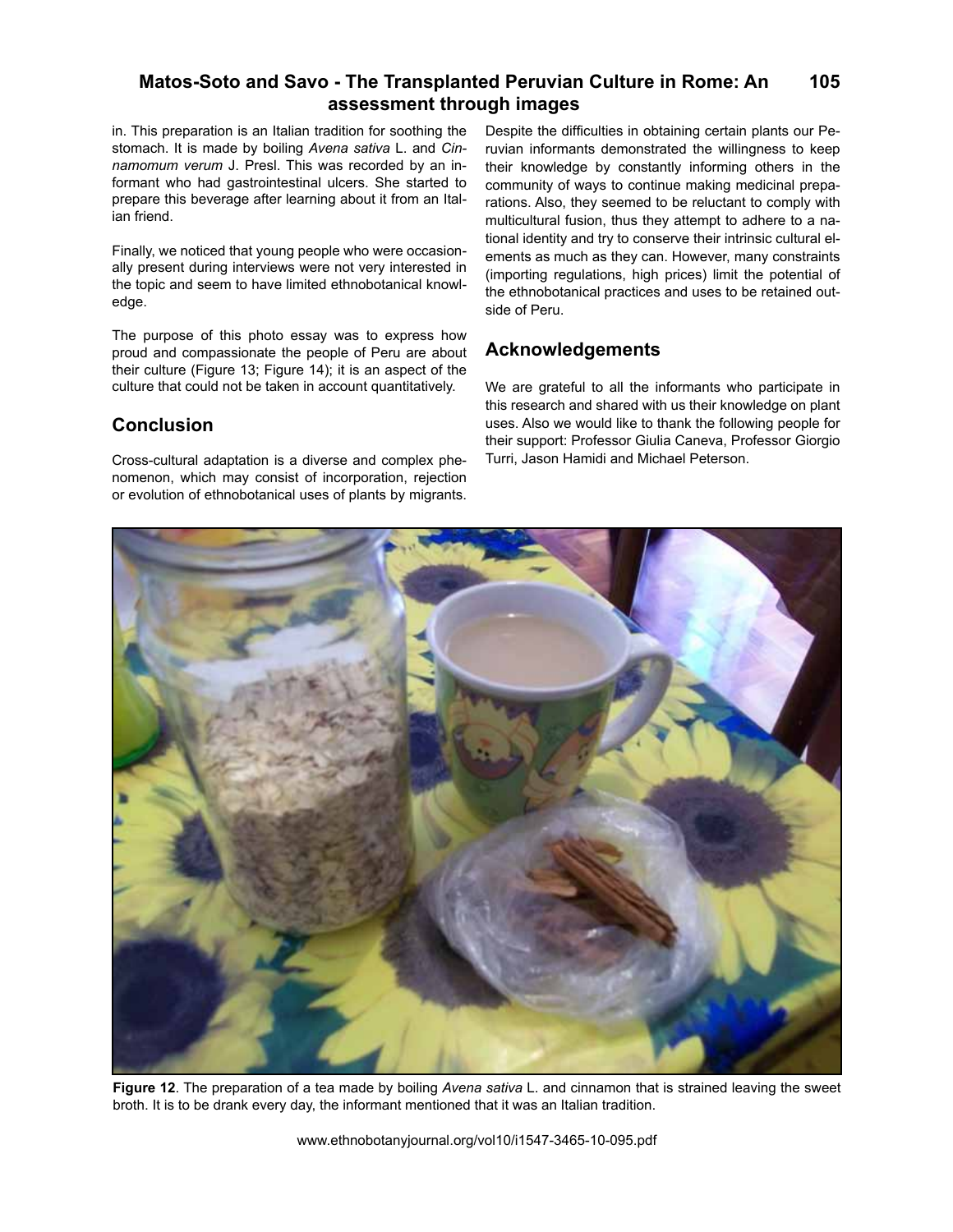in. This preparation is an Italian tradition for soothing the stomach. It is made by boiling *Avena sativa* L. and *Cinnamomum verum* J. Presl. This was recorded by an informant who had gastrointestinal ulcers. She started to prepare this beverage after learning about it from an Italian friend.

Finally, we noticed that young people who were occasionally present during interviews were not very interested in the topic and seem to have limited ethnobotanical knowledge.

The purpose of this photo essay was to express how proud and compassionate the people of Peru are about their culture (Figure 13; Figure 14); it is an aspect of the culture that could not be taken in account quantitatively.

# **Conclusion**

Cross-cultural adaptation is a diverse and complex phenomenon, which may consist of incorporation, rejection or evolution of ethnobotanical uses of plants by migrants.

Despite the difficulties in obtaining certain plants our Peruvian informants demonstrated the willingness to keep their knowledge by constantly informing others in the community of ways to continue making medicinal preparations. Also, they seemed to be reluctant to comply with multicultural fusion, thus they attempt to adhere to a national identity and try to conserve their intrinsic cultural elements as much as they can. However, many constraints (importing regulations, high prices) limit the potential of the ethnobotanical practices and uses to be retained outside of Peru.

# **Acknowledgements**

We are grateful to all the informants who participate in this research and shared with us their knowledge on plant uses. Also we would like to thank the following people for their support: Professor Giulia Caneva, Professor Giorgio Turri, Jason Hamidi and Michael Peterson.



**Figure 12**. The preparation of a tea made by boiling *Avena sativa* L. and cinnamon that is strained leaving the sweet broth. It is to be drank every day, the informant mentioned that it was an Italian tradition.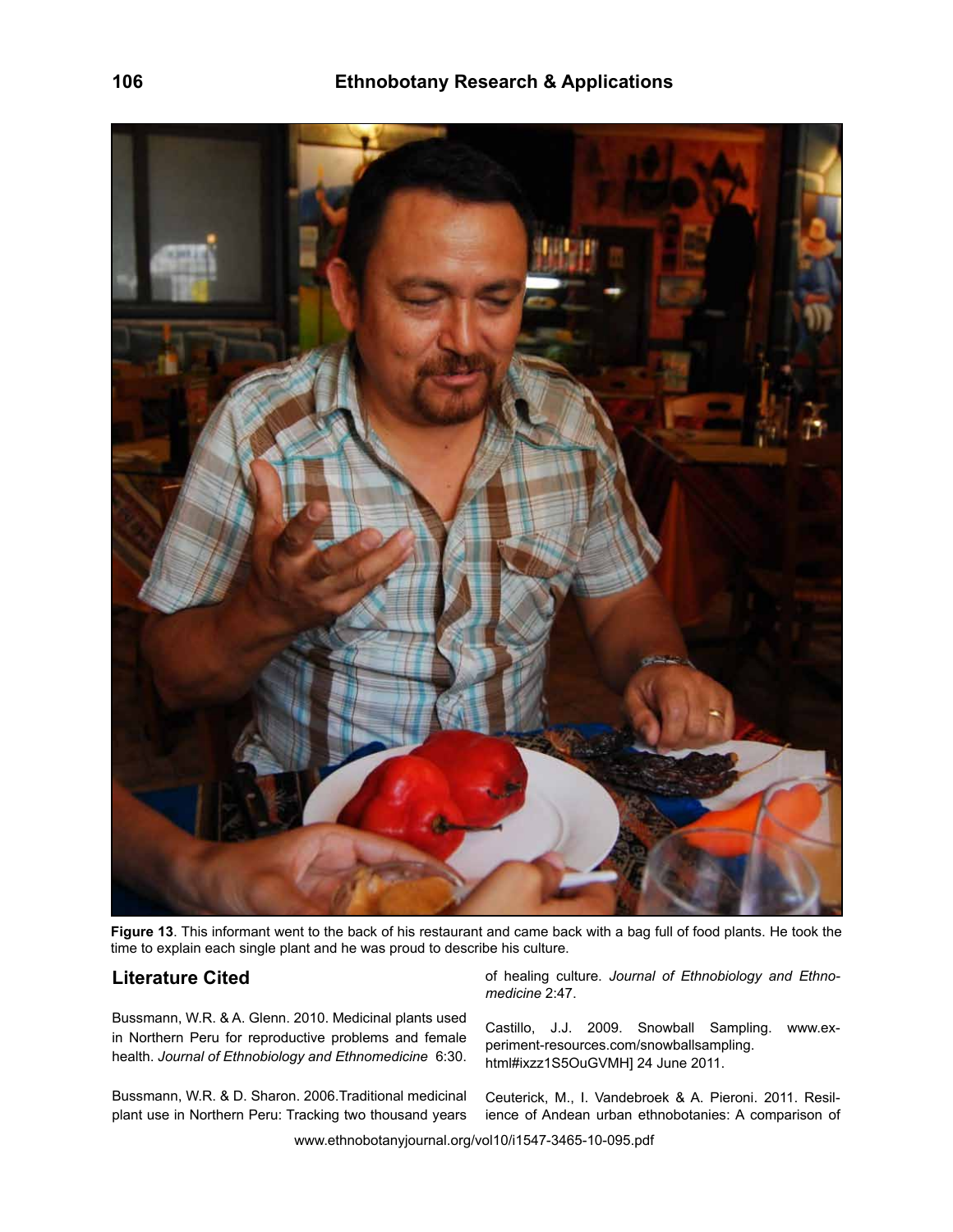

**Figure 13**. This informant went to the back of his restaurant and came back with a bag full of food plants. He took the time to explain each single plant and he was proud to describe his culture.

## **Literature Cited**

Bussmann, W.R. & A. Glenn. 2010. Medicinal plants used in Northern Peru for reproductive problems and female health. *Journal of Ethnobiology and Ethnomedicine* 6:30.

Bussmann, W.R. & D. Sharon. 2006.Traditional medicinal plant use in Northern Peru: Tracking two thousand years of healing culture. *Journal of Ethnobiology and Ethnomedicine* 2:47.

Castillo, J.J. 2009. Snowball Sampling. www.experiment-resources.com/snowballsampling. html#ixzz1S5OuGVMH] 24 June 2011.

Ceuterick, M., I. Vandebroek & A. Pieroni. 2011. Resilience of Andean urban ethnobotanies: A comparison of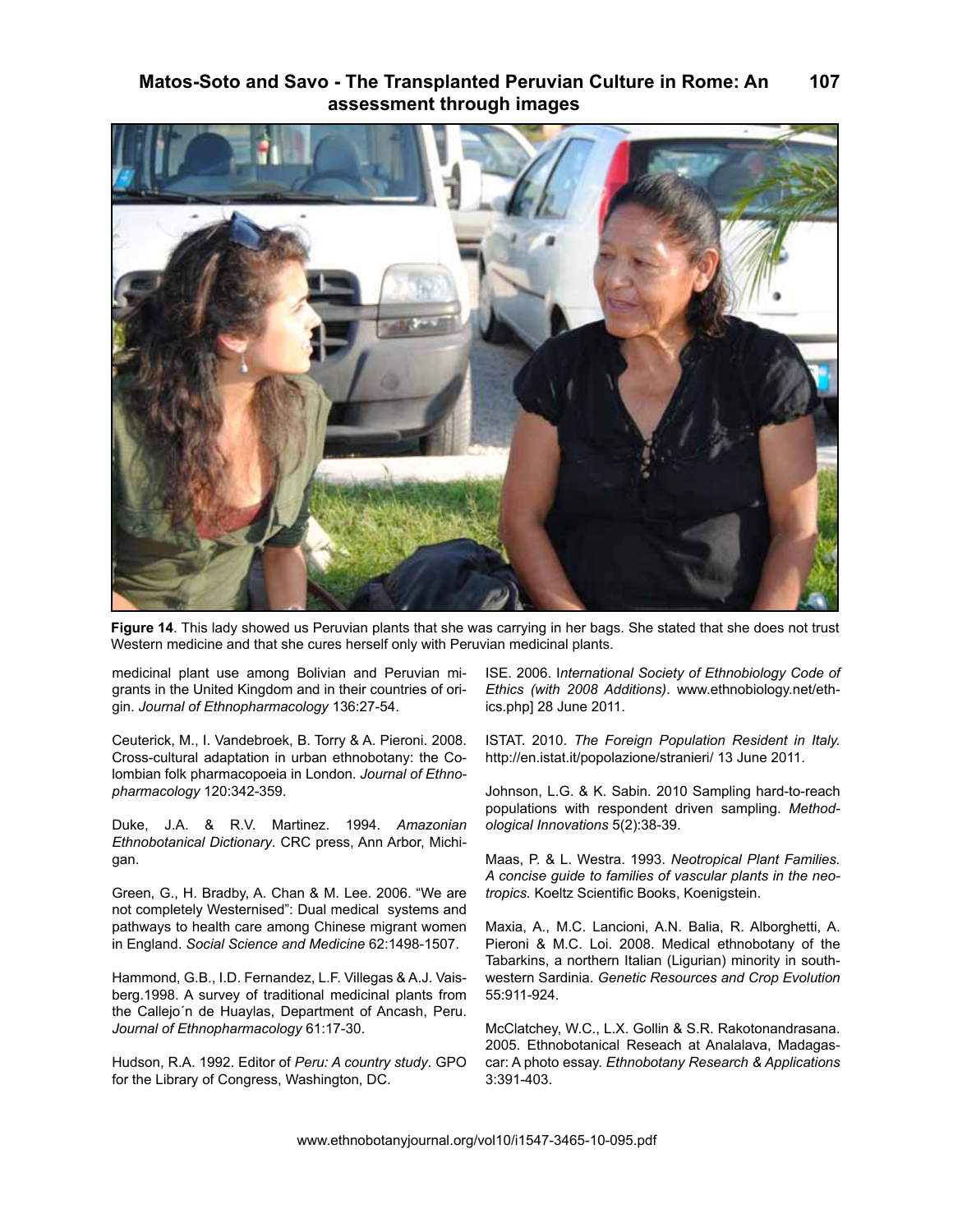

**Figure 14**. This lady showed us Peruvian plants that she was carrying in her bags. She stated that she does not trust Western medicine and that she cures herself only with Peruvian medicinal plants.

medicinal plant use among Bolivian and Peruvian migrants in the United Kingdom and in their countries of origin. *Journal of Ethnopharmacology* 136:27-54.

Ceuterick, M., I. Vandebroek, B. Torry & A. Pieroni. 2008. Cross-cultural adaptation in urban ethnobotany: the Colombian folk pharmacopoeia in London. *Journal of Ethnopharmacology* 120:342-359.

Duke, J.A. & R.V. Martinez. 1994. *Amazonian Ethnobotanical Dictionary*. CRC press, Ann Arbor, Michigan.

Green, G., H. Bradby, A. Chan & M. Lee. 2006. "We are not completely Westernised": Dual medical systems and pathways to health care among Chinese migrant women in England. *Social Science and Medicine* 62:1498-1507.

Hammond, G.B., I.D. Fernandez, L.F. Villegas & A.J. Vaisberg.1998. A survey of traditional medicinal plants from the Callejo´n de Huaylas, Department of Ancash, Peru. *Journal of Ethnopharmacology* 61:17-30.

Hudson, R.A. 1992. Editor of *Peru: A country study*. GPO for the Library of Congress, Washington, DC.

ISE. 2006. I*nternational Society of Ethnobiology Code of Ethics (with 2008 Additions)*. www.ethnobiology.net/ethics.php] 28 June 2011.

ISTAT. 2010. *The Foreign Population Resident in Italy.* http://en.istat.it/popolazione/stranieri/ 13 June 2011.

Johnson, L.G. & K. Sabin. 2010 Sampling hard-to-reach populations with respondent driven sampling. *Methodological Innovations* 5(2):38-39.

Maas, P. & L. Westra. 1993. *Neotropical Plant Families. A concise guide to families of vascular plants in the neotropics.* Koeltz Scientific Books, Koenigstein.

Maxia, A., M.C. Lancioni, A.N. Balia, R. Alborghetti, A. Pieroni & M.C. Loi. 2008. Medical ethnobotany of the Tabarkins, a northern Italian (Ligurian) minority in southwestern Sardinia. *Genetic Resources and Crop Evolution*  55:911-924.

McClatchey, W.C., L.X. Gollin & S.R. Rakotonandrasana. 2005. Ethnobotanical Reseach at Analalava, Madagascar: A photo essay. *Ethnobotany Research & Applications* 3:391-403.